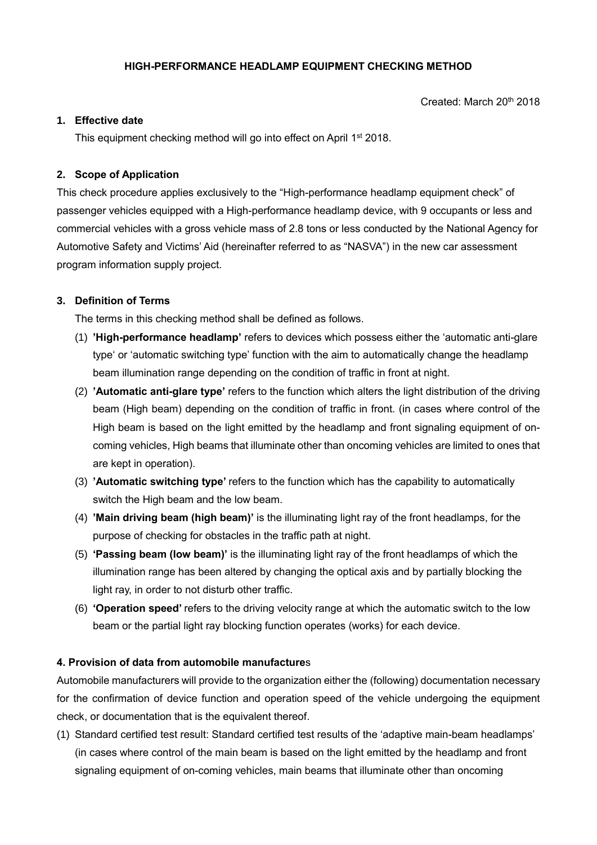Created: March 20th 2018

### **1. Effective date**

This equipment checking method will go into effect on April 1<sup>st</sup> 2018.

## **2. Scope of Application**

This check procedure applies exclusively to the "High-performance headlamp equipment check" of passenger vehicles equipped with a High-performance headlamp device, with 9 occupants or less and commercial vehicles with a gross vehicle mass of 2.8 tons or less conducted by the National Agency for Automotive Safety and Victims' Aid (hereinafter referred to as "NASVA") in the new car assessment program information supply project.

## **3. Definition of Terms**

The terms in this checking method shall be defined as follows.

- (1) **'High-performance headlamp'** refers to devices which possess either the 'automatic anti-glare type' or 'automatic switching type' function with the aim to automatically change the headlamp beam illumination range depending on the condition of traffic in front at night.
- (2) **'Automatic anti-glare type'** refers to the function which alters the light distribution of the driving beam (High beam) depending on the condition of traffic in front. (in cases where control of the High beam is based on the light emitted by the headlamp and front signaling equipment of oncoming vehicles, High beams that illuminate other than oncoming vehicles are limited to ones that are kept in operation).
- (3) **'Automatic switching type'** refers to the function which has the capability to automatically switch the High beam and the low beam.
- (4) **'Main driving beam (high beam)'** is the illuminating light ray of the front headlamps, for the purpose of checking for obstacles in the traffic path at night.
- (5) **'Passing beam (low beam)'** is the illuminating light ray of the front headlamps of which the illumination range has been altered by changing the optical axis and by partially blocking the light ray, in order to not disturb other traffic.
- (6) **'Operation speed'** refers to the driving velocity range at which the automatic switch to the low beam or the partial light ray blocking function operates (works) for each device.

## **4. Provision of data from automobile manufacture**s

Automobile manufacturers will provide to the organization either the (following) documentation necessary for the confirmation of device function and operation speed of the vehicle undergoing the equipment check, or documentation that is the equivalent thereof.

(1) Standard certified test result: Standard certified test results of the 'adaptive main-beam headlamps' (in cases where control of the main beam is based on the light emitted by the headlamp and front signaling equipment of on-coming vehicles, main beams that illuminate other than oncoming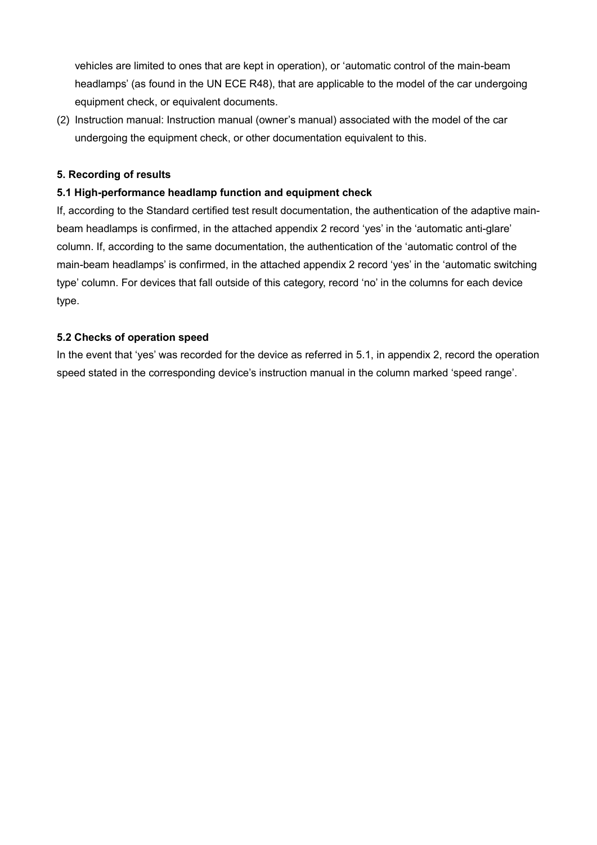vehicles are limited to ones that are kept in operation), or 'automatic control of the main-beam headlamps' (as found in the UN ECE R48), that are applicable to the model of the car undergoing equipment check, or equivalent documents.

(2) Instruction manual: Instruction manual (owner's manual) associated with the model of the car undergoing the equipment check, or other documentation equivalent to this.

#### **5. Recording of results**

#### **5.1 High-performance headlamp function and equipment check**

If, according to the Standard certified test result documentation, the authentication of the adaptive mainbeam headlamps is confirmed, in the attached appendix 2 record 'yes' in the 'automatic anti-glare' column. If, according to the same documentation, the authentication of the 'automatic control of the main-beam headlamps' is confirmed, in the attached appendix 2 record 'yes' in the 'automatic switching type' column. For devices that fall outside of this category, record 'no' in the columns for each device type.

#### **5.2 Checks of operation speed**

In the event that 'yes' was recorded for the device as referred in 5.1, in appendix 2, record the operation speed stated in the corresponding device's instruction manual in the column marked 'speed range'.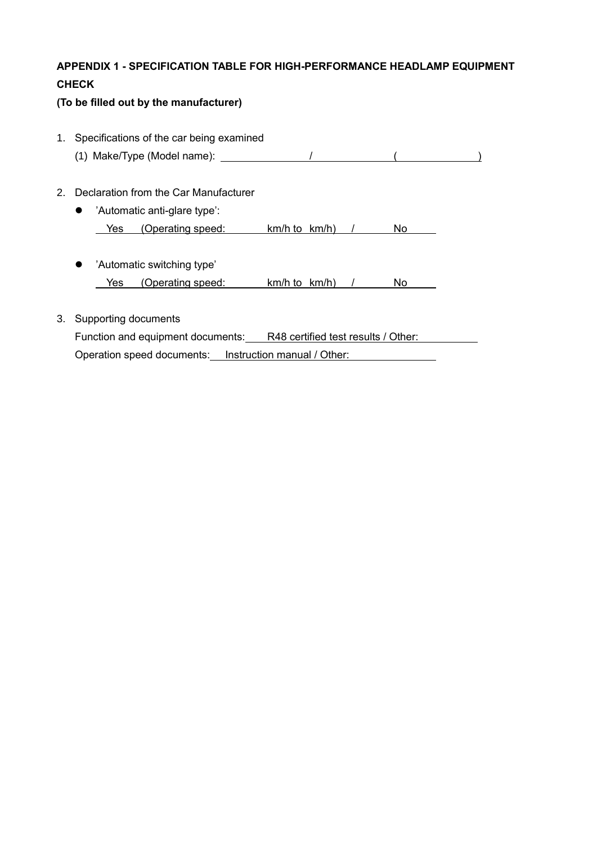# **APPENDIX 1 - SPECIFICATION TABLE FOR HIGH-PERFORMANCE HEADLAMP EQUIPMENT CHECK**

# **(To be filled out by the manufacturer)**

1. Specifications of the car being examined (1) Make/Type (Model name):  $\sqrt{$  (2) Make/Type (Model name):  $\sqrt{}$ 2. Declaration from the Car Manufacturer 'Automatic anti-glare type': Yes (Operating speed: km/h to km/h) / No 'Automatic switching type' Yes (Operating speed: km/h to km/h) / No 3. Supporting documents

Function and equipment documents: R48 certified test results / Other: Operation speed documents: Instruction manual / Other: